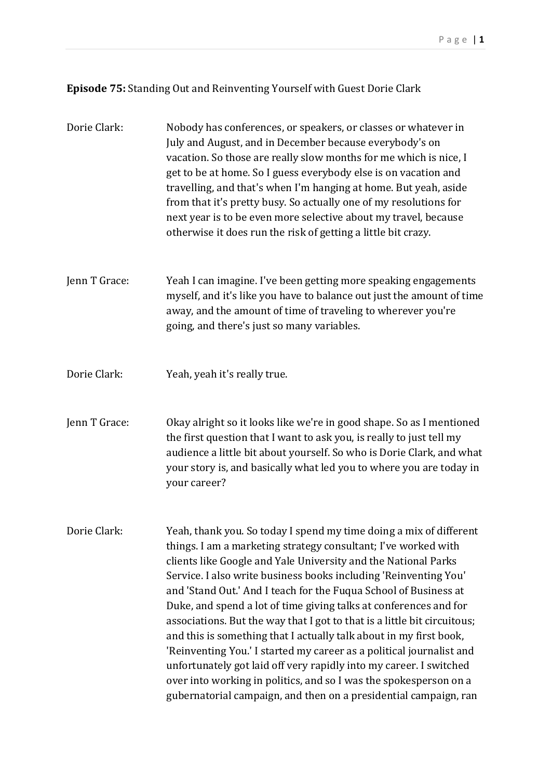**Episode 75:** Standing Out and Reinventing Yourself with Guest Dorie Clark

| Dorie Clark:  | Nobody has conferences, or speakers, or classes or whatever in<br>July and August, and in December because everybody's on<br>vacation. So those are really slow months for me which is nice, I<br>get to be at home. So I guess everybody else is on vacation and<br>travelling, and that's when I'm hanging at home. But yeah, aside<br>from that it's pretty busy. So actually one of my resolutions for<br>next year is to be even more selective about my travel, because<br>otherwise it does run the risk of getting a little bit crazy.                                                                                                                                                                                                                                                                                                               |
|---------------|--------------------------------------------------------------------------------------------------------------------------------------------------------------------------------------------------------------------------------------------------------------------------------------------------------------------------------------------------------------------------------------------------------------------------------------------------------------------------------------------------------------------------------------------------------------------------------------------------------------------------------------------------------------------------------------------------------------------------------------------------------------------------------------------------------------------------------------------------------------|
| Jenn T Grace: | Yeah I can imagine. I've been getting more speaking engagements<br>myself, and it's like you have to balance out just the amount of time<br>away, and the amount of time of traveling to wherever you're<br>going, and there's just so many variables.                                                                                                                                                                                                                                                                                                                                                                                                                                                                                                                                                                                                       |
| Dorie Clark:  | Yeah, yeah it's really true.                                                                                                                                                                                                                                                                                                                                                                                                                                                                                                                                                                                                                                                                                                                                                                                                                                 |
| Jenn T Grace: | Okay alright so it looks like we're in good shape. So as I mentioned<br>the first question that I want to ask you, is really to just tell my<br>audience a little bit about yourself. So who is Dorie Clark, and what<br>your story is, and basically what led you to where you are today in<br>your career?                                                                                                                                                                                                                                                                                                                                                                                                                                                                                                                                                 |
| Dorie Clark:  | Yeah, thank you. So today I spend my time doing a mix of different<br>things. I am a marketing strategy consultant; I've worked with<br>clients like Google and Yale University and the National Parks<br>Service. I also write business books including 'Reinventing You'<br>and 'Stand Out.' And I teach for the Fuqua School of Business at<br>Duke, and spend a lot of time giving talks at conferences and for<br>associations. But the way that I got to that is a little bit circuitous;<br>and this is something that I actually talk about in my first book,<br>'Reinventing You.' I started my career as a political journalist and<br>unfortunately got laid off very rapidly into my career. I switched<br>over into working in politics, and so I was the spokesperson on a<br>gubernatorial campaign, and then on a presidential campaign, ran |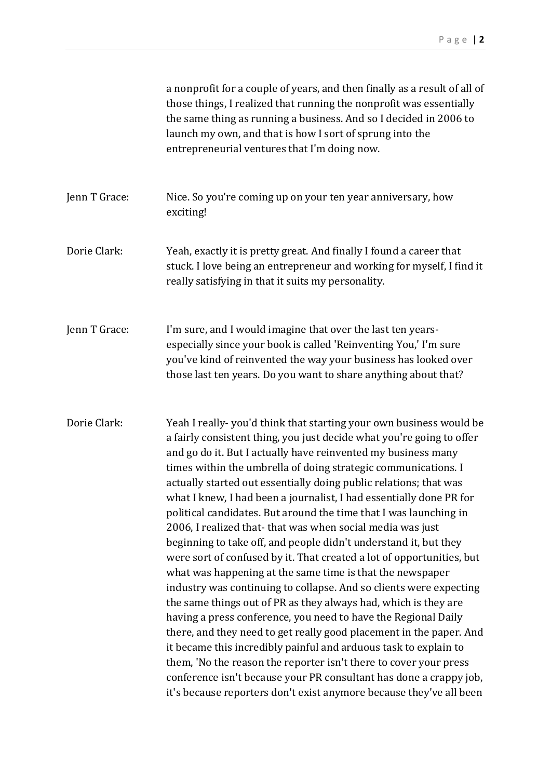|               | a nonprofit for a couple of years, and then finally as a result of all of<br>those things, I realized that running the nonprofit was essentially<br>the same thing as running a business. And so I decided in 2006 to<br>launch my own, and that is how I sort of sprung into the<br>entrepreneurial ventures that I'm doing now.                                                                                                                                                                                                                                                                                                                                                                                                                                                                                                                                                                                                                                                                                                                                                                                                                                                                                                                                                                                                              |
|---------------|------------------------------------------------------------------------------------------------------------------------------------------------------------------------------------------------------------------------------------------------------------------------------------------------------------------------------------------------------------------------------------------------------------------------------------------------------------------------------------------------------------------------------------------------------------------------------------------------------------------------------------------------------------------------------------------------------------------------------------------------------------------------------------------------------------------------------------------------------------------------------------------------------------------------------------------------------------------------------------------------------------------------------------------------------------------------------------------------------------------------------------------------------------------------------------------------------------------------------------------------------------------------------------------------------------------------------------------------|
| Jenn T Grace: | Nice. So you're coming up on your ten year anniversary, how<br>exciting!                                                                                                                                                                                                                                                                                                                                                                                                                                                                                                                                                                                                                                                                                                                                                                                                                                                                                                                                                                                                                                                                                                                                                                                                                                                                       |
| Dorie Clark:  | Yeah, exactly it is pretty great. And finally I found a career that<br>stuck. I love being an entrepreneur and working for myself, I find it<br>really satisfying in that it suits my personality.                                                                                                                                                                                                                                                                                                                                                                                                                                                                                                                                                                                                                                                                                                                                                                                                                                                                                                                                                                                                                                                                                                                                             |
| Jenn T Grace: | I'm sure, and I would imagine that over the last ten years-<br>especially since your book is called 'Reinventing You,' I'm sure<br>you've kind of reinvented the way your business has looked over<br>those last ten years. Do you want to share anything about that?                                                                                                                                                                                                                                                                                                                                                                                                                                                                                                                                                                                                                                                                                                                                                                                                                                                                                                                                                                                                                                                                          |
| Dorie Clark:  | Yeah I really-you'd think that starting your own business would be<br>a fairly consistent thing, you just decide what you're going to offer<br>and go do it. But I actually have reinvented my business many<br>times within the umbrella of doing strategic communications. I<br>actually started out essentially doing public relations; that was<br>what I knew, I had been a journalist, I had essentially done PR for<br>political candidates. But around the time that I was launching in<br>2006, I realized that-that was when social media was just<br>beginning to take off, and people didn't understand it, but they<br>were sort of confused by it. That created a lot of opportunities, but<br>what was happening at the same time is that the newspaper<br>industry was continuing to collapse. And so clients were expecting<br>the same things out of PR as they always had, which is they are<br>having a press conference, you need to have the Regional Daily<br>there, and they need to get really good placement in the paper. And<br>it became this incredibly painful and arduous task to explain to<br>them, 'No the reason the reporter isn't there to cover your press<br>conference isn't because your PR consultant has done a crappy job,<br>it's because reporters don't exist anymore because they've all been |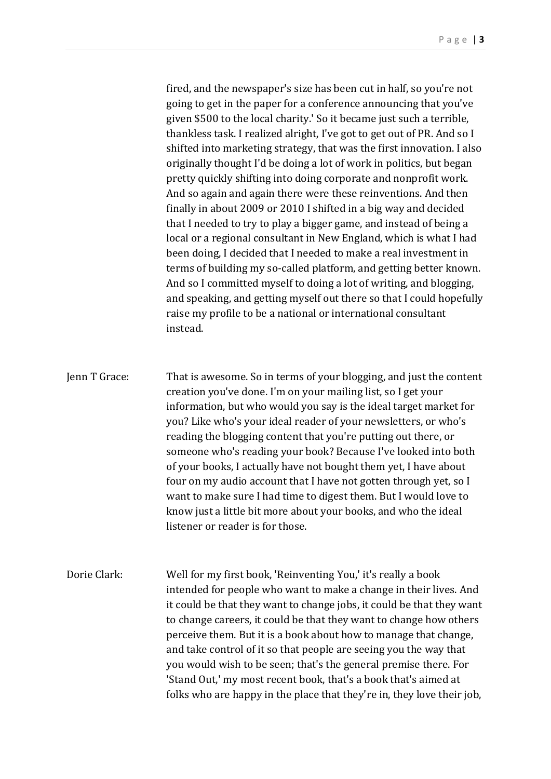fired, and the newspaper's size has been cut in half, so you're not going to get in the paper for a conference announcing that you've given \$500 to the local charity.' So it became just such a terrible, thankless task. I realized alright, I've got to get out of PR. And so I shifted into marketing strategy, that was the first innovation. I also originally thought I'd be doing a lot of work in politics, but began pretty quickly shifting into doing corporate and nonprofit work. And so again and again there were these reinventions. And then finally in about 2009 or 2010 I shifted in a big way and decided that I needed to try to play a bigger game, and instead of being a local or a regional consultant in New England, which is what I had been doing, I decided that I needed to make a real investment in terms of building my so-called platform, and getting better known. And so I committed myself to doing a lot of writing, and blogging, and speaking, and getting myself out there so that I could hopefully raise my profile to be a national or international consultant instead.

Jenn T Grace: That is awesome. So in terms of your blogging, and just the content creation you've done. I'm on your mailing list, so I get your information, but who would you say is the ideal target market for you? Like who's your ideal reader of your newsletters, or who's reading the blogging content that you're putting out there, or someone who's reading your book? Because I've looked into both of your books, I actually have not bought them yet, I have about four on my audio account that I have not gotten through yet, so I want to make sure I had time to digest them. But I would love to know just a little bit more about your books, and who the ideal listener or reader is for those.

Dorie Clark: Well for my first book, 'Reinventing You,' it's really a book intended for people who want to make a change in their lives. And it could be that they want to change jobs, it could be that they want to change careers, it could be that they want to change how others perceive them. But it is a book about how to manage that change, and take control of it so that people are seeing you the way that you would wish to be seen; that's the general premise there. For 'Stand Out,' my most recent book, that's a book that's aimed at folks who are happy in the place that they're in, they love their job,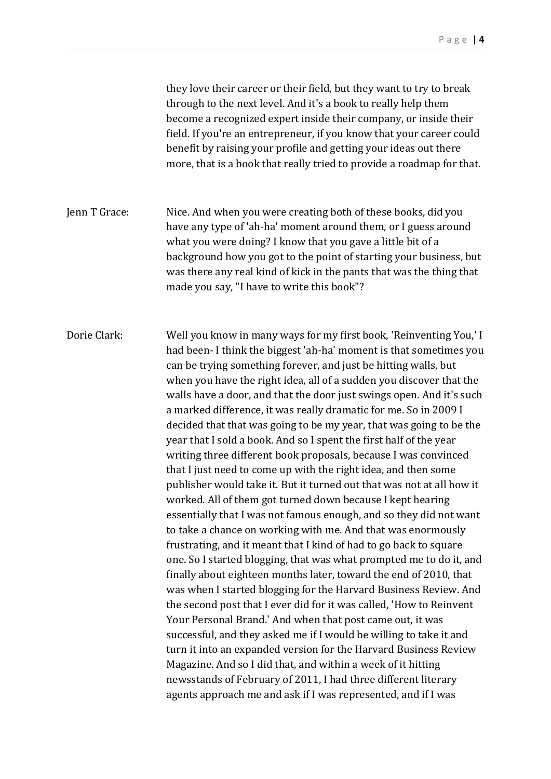they love their career or their field, but they want to try to break through to the next level. And it's a book to really help them become a recognized expert inside their company, or inside their field. If you're an entrepreneur, if you know that your career could benefit by raising your profile and getting your ideas out there more, that is a book that really tried to provide a roadmap for that.

Jenn T Grace: Nice. And when you were creating both of these books, did you have any type of 'ah-ha' moment around them, or I guess around what you were doing? I know that you gave a little bit of a background how you got to the point of starting your business, but was there any real kind of kick in the pants that was the thing that made you say, "I have to write this book"?

Dorie Clark: Well you know in many ways for my first book, 'Reinventing You,' I had been- I think the biggest 'ah-ha' moment is that sometimes you can be trying something forever, and just be hitting walls, but when you have the right idea, all of a sudden you discover that the walls have a door, and that the door just swings open. And it's such a marked difference, it was really dramatic for me. So in 2009 I decided that that was going to be my year, that was going to be the year that I sold a book. And so I spent the first half of the year writing three different book proposals, because I was convinced that I just need to come up with the right idea, and then some publisher would take it. But it turned out that was not at all how it worked. All of them got turned down because I kept hearing essentially that I was not famous enough, and so they did not want to take a chance on working with me. And that was enormously frustrating, and it meant that I kind of had to go back to square one. So I started blogging, that was what prompted me to do it, and finally about eighteen months later, toward the end of 2010, that was when I started blogging for the Harvard Business Review. And the second post that I ever did for it was called, 'How to Reinvent Your Personal Brand.' And when that post came out, it was successful, and they asked me if I would be willing to take it and turn it into an expanded version for the Harvard Business Review Magazine. And so I did that, and within a week of it hitting newsstands of February of 2011, I had three different literary agents approach me and ask if I was represented, and if I was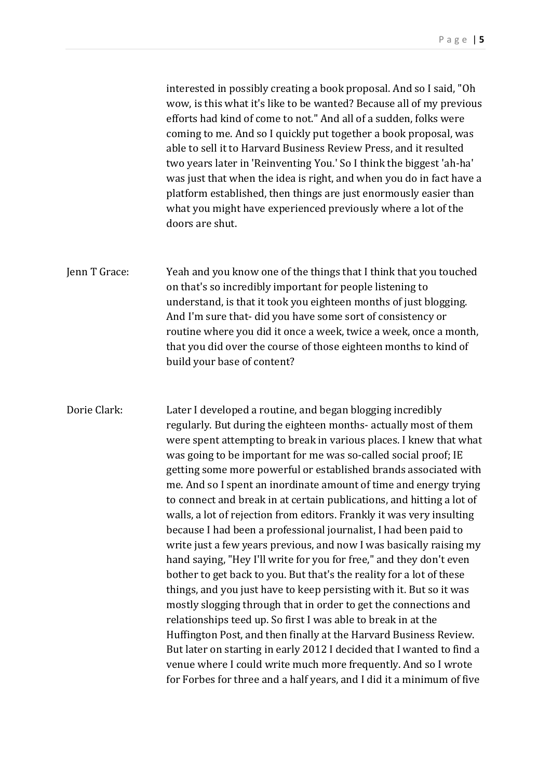interested in possibly creating a book proposal. And so I said, "Oh wow, is this what it's like to be wanted? Because all of my previous efforts had kind of come to not." And all of a sudden, folks were coming to me. And so I quickly put together a book proposal, was able to sell it to Harvard Business Review Press, and it resulted two years later in 'Reinventing You.' So I think the biggest 'ah-ha' was just that when the idea is right, and when you do in fact have a platform established, then things are just enormously easier than what you might have experienced previously where a lot of the doors are shut.

Jenn T Grace: Yeah and you know one of the things that I think that you touched on that's so incredibly important for people listening to understand, is that it took you eighteen months of just blogging. And I'm sure that- did you have some sort of consistency or routine where you did it once a week, twice a week, once a month, that you did over the course of those eighteen months to kind of build your base of content?

Dorie Clark: Later I developed a routine, and began blogging incredibly regularly. But during the eighteen months- actually most of them were spent attempting to break in various places. I knew that what was going to be important for me was so-called social proof; IE getting some more powerful or established brands associated with me. And so I spent an inordinate amount of time and energy trying to connect and break in at certain publications, and hitting a lot of walls, a lot of rejection from editors. Frankly it was very insulting because I had been a professional journalist, I had been paid to write just a few years previous, and now I was basically raising my hand saying, "Hey I'll write for you for free," and they don't even bother to get back to you. But that's the reality for a lot of these things, and you just have to keep persisting with it. But so it was mostly slogging through that in order to get the connections and relationships teed up. So first I was able to break in at the Huffington Post, and then finally at the Harvard Business Review. But later on starting in early 2012 I decided that I wanted to find a venue where I could write much more frequently. And so I wrote for Forbes for three and a half years, and I did it a minimum of five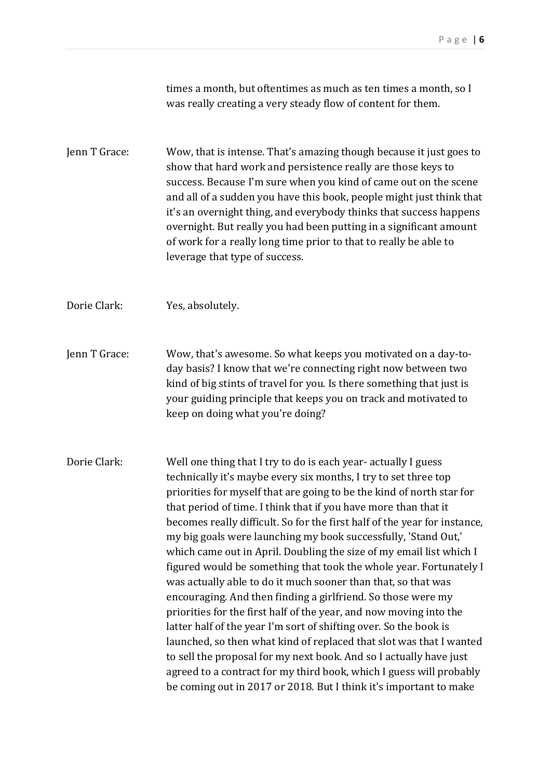times a month, but oftentimes as much as ten times a month, so I was really creating a very steady flow of content for them.

Jenn T Grace: Wow, that is intense. That's amazing though because it just goes to show that hard work and persistence really are those keys to success. Because I'm sure when you kind of came out on the scene and all of a sudden you have this book, people might just think that it's an overnight thing, and everybody thinks that success happens overnight. But really you had been putting in a significant amount of work for a really long time prior to that to really be able to leverage that type of success.

Dorie Clark: Yes, absolutely.

Jenn T Grace: Wow, that's awesome. So what keeps you motivated on a day-today basis? I know that we're connecting right now between two kind of big stints of travel for you. Is there something that just is your guiding principle that keeps you on track and motivated to keep on doing what you're doing?

Dorie Clark: Well one thing that I try to do is each year- actually I guess technically it's maybe every six months, I try to set three top priorities for myself that are going to be the kind of north star for that period of time. I think that if you have more than that it becomes really difficult. So for the first half of the year for instance, my big goals were launching my book successfully, 'Stand Out,' which came out in April. Doubling the size of my email list which I figured would be something that took the whole year. Fortunately I was actually able to do it much sooner than that, so that was encouraging. And then finding a girlfriend. So those were my priorities for the first half of the year, and now moving into the latter half of the year I'm sort of shifting over. So the book is launched, so then what kind of replaced that slot was that I wanted to sell the proposal for my next book. And so I actually have just agreed to a contract for my third book, which I guess will probably be coming out in 2017 or 2018. But I think it's important to make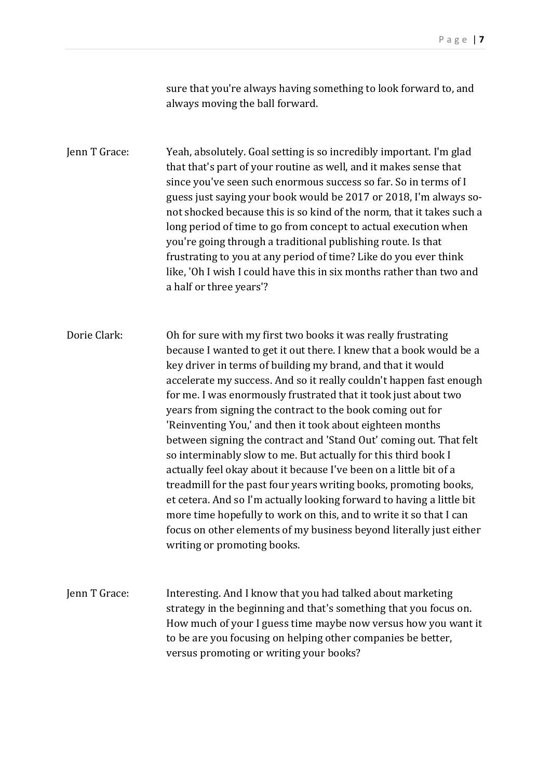sure that you're always having something to look forward to, and always moving the ball forward.

Jenn T Grace: Yeah, absolutely. Goal setting is so incredibly important. I'm glad that that's part of your routine as well, and it makes sense that since you've seen such enormous success so far. So in terms of I guess just saying your book would be 2017 or 2018, I'm always sonot shocked because this is so kind of the norm, that it takes such a long period of time to go from concept to actual execution when you're going through a traditional publishing route. Is that frustrating to you at any period of time? Like do you ever think like, 'Oh I wish I could have this in six months rather than two and a half or three years'?

Dorie Clark: Oh for sure with my first two books it was really frustrating because I wanted to get it out there. I knew that a book would be a key driver in terms of building my brand, and that it would accelerate my success. And so it really couldn't happen fast enough for me. I was enormously frustrated that it took just about two years from signing the contract to the book coming out for 'Reinventing You,' and then it took about eighteen months between signing the contract and 'Stand Out' coming out. That felt so interminably slow to me. But actually for this third book I actually feel okay about it because I've been on a little bit of a treadmill for the past four years writing books, promoting books, et cetera. And so I'm actually looking forward to having a little bit more time hopefully to work on this, and to write it so that I can focus on other elements of my business beyond literally just either writing or promoting books.

Jenn T Grace: Interesting. And I know that you had talked about marketing strategy in the beginning and that's something that you focus on. How much of your I guess time maybe now versus how you want it to be are you focusing on helping other companies be better, versus promoting or writing your books?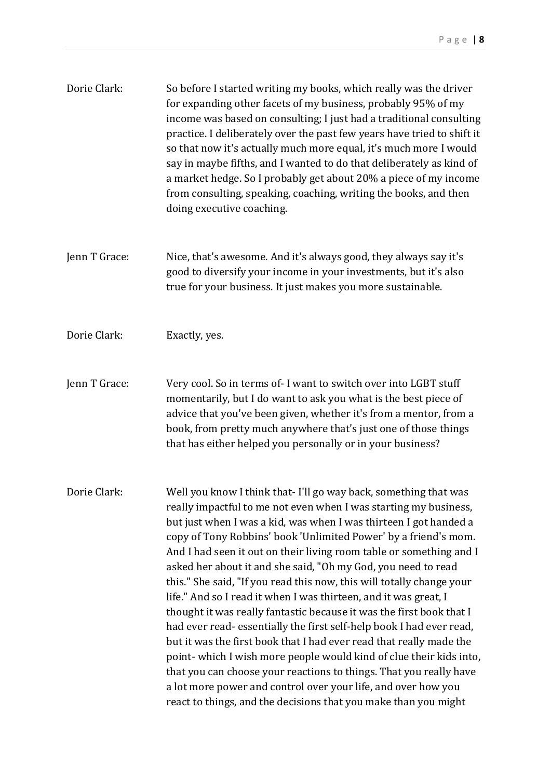| Dorie Clark:  | So before I started writing my books, which really was the driver<br>for expanding other facets of my business, probably 95% of my<br>income was based on consulting; I just had a traditional consulting<br>practice. I deliberately over the past few years have tried to shift it<br>so that now it's actually much more equal, it's much more I would<br>say in maybe fifths, and I wanted to do that deliberately as kind of<br>a market hedge. So I probably get about 20% a piece of my income<br>from consulting, speaking, coaching, writing the books, and then<br>doing executive coaching.                                                                                                                                                                                                                                                                                                                                                                                               |
|---------------|------------------------------------------------------------------------------------------------------------------------------------------------------------------------------------------------------------------------------------------------------------------------------------------------------------------------------------------------------------------------------------------------------------------------------------------------------------------------------------------------------------------------------------------------------------------------------------------------------------------------------------------------------------------------------------------------------------------------------------------------------------------------------------------------------------------------------------------------------------------------------------------------------------------------------------------------------------------------------------------------------|
| Jenn T Grace: | Nice, that's awesome. And it's always good, they always say it's<br>good to diversify your income in your investments, but it's also<br>true for your business. It just makes you more sustainable.                                                                                                                                                                                                                                                                                                                                                                                                                                                                                                                                                                                                                                                                                                                                                                                                  |
| Dorie Clark:  | Exactly, yes.                                                                                                                                                                                                                                                                                                                                                                                                                                                                                                                                                                                                                                                                                                                                                                                                                                                                                                                                                                                        |
| Jenn T Grace: | Very cool. So in terms of- I want to switch over into LGBT stuff<br>momentarily, but I do want to ask you what is the best piece of<br>advice that you've been given, whether it's from a mentor, from a<br>book, from pretty much anywhere that's just one of those things<br>that has either helped you personally or in your business?                                                                                                                                                                                                                                                                                                                                                                                                                                                                                                                                                                                                                                                            |
| Dorie Clark:  | Well you know I think that- I'll go way back, something that was<br>really impactful to me not even when I was starting my business,<br>but just when I was a kid, was when I was thirteen I got handed a<br>copy of Tony Robbins' book 'Unlimited Power' by a friend's mom.<br>And I had seen it out on their living room table or something and I<br>asked her about it and she said, "Oh my God, you need to read<br>this." She said, "If you read this now, this will totally change your<br>life." And so I read it when I was thirteen, and it was great, I<br>thought it was really fantastic because it was the first book that I<br>had ever read-essentially the first self-help book I had ever read,<br>but it was the first book that I had ever read that really made the<br>point-which I wish more people would kind of clue their kids into,<br>that you can choose your reactions to things. That you really have<br>a lot more power and control over your life, and over how you |

react to things, and the decisions that you make than you might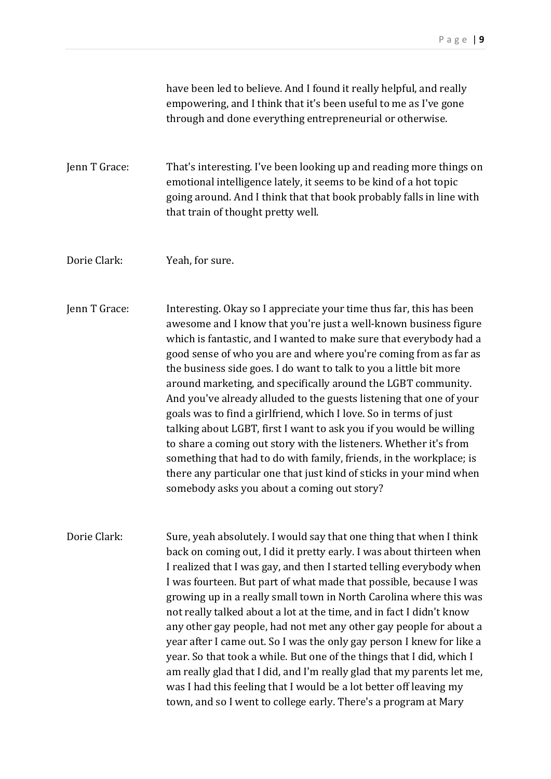|               | have been led to believe. And I found it really helpful, and really<br>empowering, and I think that it's been useful to me as I've gone<br>through and done everything entrepreneurial or otherwise.                                                                                                                                                                                                                                                                                                                                                                                                                                                                                                                                                                                                                                                                                                          |
|---------------|---------------------------------------------------------------------------------------------------------------------------------------------------------------------------------------------------------------------------------------------------------------------------------------------------------------------------------------------------------------------------------------------------------------------------------------------------------------------------------------------------------------------------------------------------------------------------------------------------------------------------------------------------------------------------------------------------------------------------------------------------------------------------------------------------------------------------------------------------------------------------------------------------------------|
| Jenn T Grace: | That's interesting. I've been looking up and reading more things on<br>emotional intelligence lately, it seems to be kind of a hot topic<br>going around. And I think that that book probably falls in line with<br>that train of thought pretty well.                                                                                                                                                                                                                                                                                                                                                                                                                                                                                                                                                                                                                                                        |
| Dorie Clark:  | Yeah, for sure.                                                                                                                                                                                                                                                                                                                                                                                                                                                                                                                                                                                                                                                                                                                                                                                                                                                                                               |
| Jenn T Grace: | Interesting. Okay so I appreciate your time thus far, this has been<br>awesome and I know that you're just a well-known business figure<br>which is fantastic, and I wanted to make sure that everybody had a<br>good sense of who you are and where you're coming from as far as<br>the business side goes. I do want to talk to you a little bit more<br>around marketing, and specifically around the LGBT community.<br>And you've already alluded to the guests listening that one of your<br>goals was to find a girlfriend, which I love. So in terms of just<br>talking about LGBT, first I want to ask you if you would be willing<br>to share a coming out story with the listeners. Whether it's from<br>something that had to do with family, friends, in the workplace; is<br>there any particular one that just kind of sticks in your mind when<br>somebody asks you about a coming out story? |
| Dorie Clark:  | Sure, yeah absolutely. I would say that one thing that when I think<br>back on coming out, I did it pretty early. I was about thirteen when<br>I realized that I was gay, and then I started telling everybody when<br>I was fourteen. But part of what made that possible, because I was<br>growing up in a really small town in North Carolina where this was<br>not really talked about a lot at the time, and in fact I didn't know<br>any other gay people, had not met any other gay people for about a<br>year after I came out. So I was the only gay person I knew for like a<br>year. So that took a while. But one of the things that I did, which I<br>am really glad that I did, and I'm really glad that my parents let me,<br>was I had this feeling that I would be a lot better off leaving my<br>town, and so I went to college early. There's a program at Mary                            |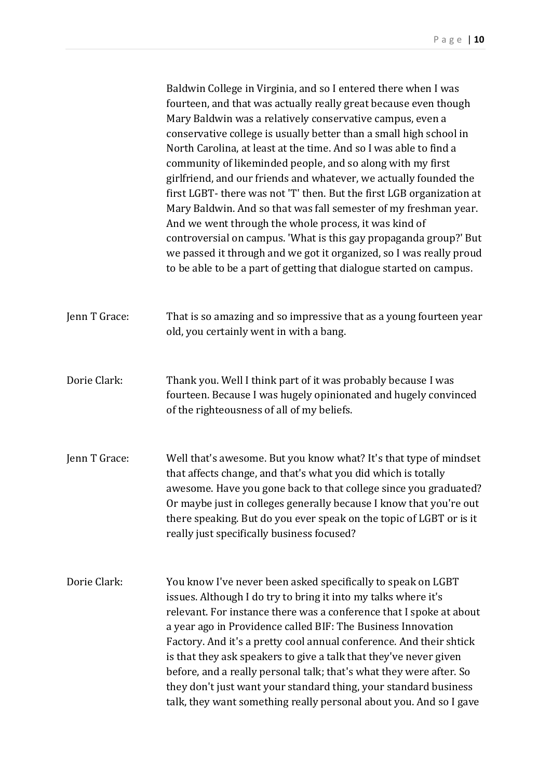|               | Baldwin College in Virginia, and so I entered there when I was<br>fourteen, and that was actually really great because even though<br>Mary Baldwin was a relatively conservative campus, even a<br>conservative college is usually better than a small high school in<br>North Carolina, at least at the time. And so I was able to find a<br>community of likeminded people, and so along with my first<br>girlfriend, and our friends and whatever, we actually founded the<br>first LGBT- there was not 'T' then. But the first LGB organization at<br>Mary Baldwin. And so that was fall semester of my freshman year.<br>And we went through the whole process, it was kind of<br>controversial on campus. 'What is this gay propaganda group?' But<br>we passed it through and we got it organized, so I was really proud<br>to be able to be a part of getting that dialogue started on campus. |
|---------------|--------------------------------------------------------------------------------------------------------------------------------------------------------------------------------------------------------------------------------------------------------------------------------------------------------------------------------------------------------------------------------------------------------------------------------------------------------------------------------------------------------------------------------------------------------------------------------------------------------------------------------------------------------------------------------------------------------------------------------------------------------------------------------------------------------------------------------------------------------------------------------------------------------|
| Jenn T Grace: | That is so amazing and so impressive that as a young fourteen year<br>old, you certainly went in with a bang.                                                                                                                                                                                                                                                                                                                                                                                                                                                                                                                                                                                                                                                                                                                                                                                          |
| Dorie Clark:  | Thank you. Well I think part of it was probably because I was<br>fourteen. Because I was hugely opinionated and hugely convinced<br>of the righteousness of all of my beliefs.                                                                                                                                                                                                                                                                                                                                                                                                                                                                                                                                                                                                                                                                                                                         |
| Jenn T Grace: | Well that's awesome. But you know what? It's that type of mindset<br>that affects change, and that's what you did which is totally<br>awesome. Have you gone back to that college since you graduated?<br>Or maybe just in colleges generally because I know that you're out<br>there speaking. But do you ever speak on the topic of LGBT or is it<br>really just specifically business focused?                                                                                                                                                                                                                                                                                                                                                                                                                                                                                                      |
| Dorie Clark:  | You know I've never been asked specifically to speak on LGBT<br>issues. Although I do try to bring it into my talks where it's<br>relevant. For instance there was a conference that I spoke at about<br>a year ago in Providence called BIF: The Business Innovation<br>Factory. And it's a pretty cool annual conference. And their shtick<br>is that they ask speakers to give a talk that they've never given<br>before, and a really personal talk; that's what they were after. So<br>they don't just want your standard thing, your standard business<br>talk, they want something really personal about you. And so I gave                                                                                                                                                                                                                                                                     |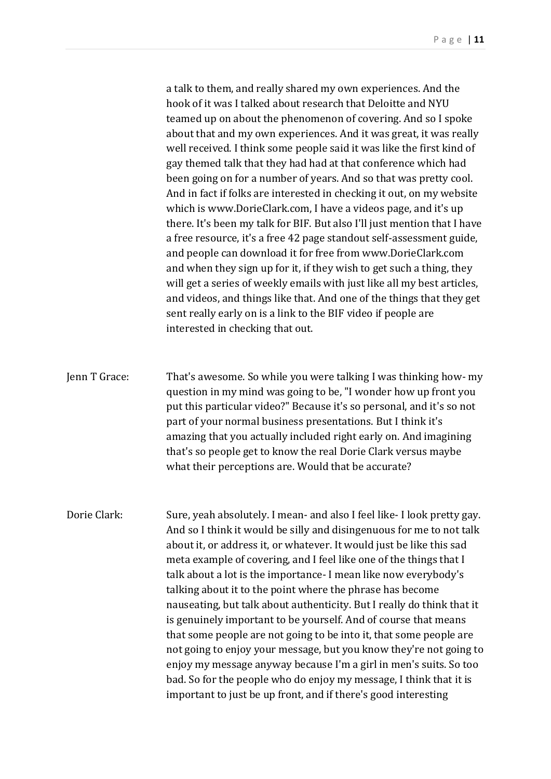a talk to them, and really shared my own experiences. And the hook of it was I talked about research that Deloitte and NYU teamed up on about the phenomenon of covering. And so I spoke about that and my own experiences. And it was great, it was really well received. I think some people said it was like the first kind of gay themed talk that they had had at that conference which had been going on for a number of years. And so that was pretty cool. And in fact if folks are interested in checking it out, on my website which is www.DorieClark.com, I have a videos page, and it's up there. It's been my talk for BIF. But also I'll just mention that I have a free resource, it's a free 42 page standout self-assessment guide, and people can download it for free from www.DorieClark.com and when they sign up for it, if they wish to get such a thing, they will get a series of weekly emails with just like all my best articles, and videos, and things like that. And one of the things that they get sent really early on is a link to the BIF video if people are interested in checking that out.

Jenn T Grace: That's awesome. So while you were talking I was thinking how- my question in my mind was going to be, "I wonder how up front you put this particular video?" Because it's so personal, and it's so not part of your normal business presentations. But I think it's amazing that you actually included right early on. And imagining that's so people get to know the real Dorie Clark versus maybe what their perceptions are. Would that be accurate?

Dorie Clark: Sure, yeah absolutely. I mean- and also I feel like- I look pretty gay. And so I think it would be silly and disingenuous for me to not talk about it, or address it, or whatever. It would just be like this sad meta example of covering, and I feel like one of the things that I talk about a lot is the importance- I mean like now everybody's talking about it to the point where the phrase has become nauseating, but talk about authenticity. But I really do think that it is genuinely important to be yourself. And of course that means that some people are not going to be into it, that some people are not going to enjoy your message, but you know they're not going to enjoy my message anyway because I'm a girl in men's suits. So too bad. So for the people who do enjoy my message, I think that it is important to just be up front, and if there's good interesting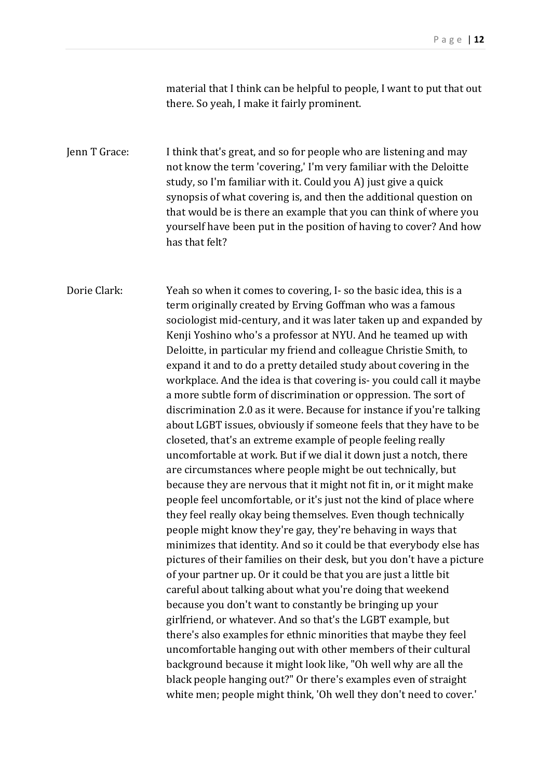material that I think can be helpful to people, I want to put that out there. So yeah, I make it fairly prominent.

Jenn T Grace: I think that's great, and so for people who are listening and may not know the term 'covering,' I'm very familiar with the Deloitte study, so I'm familiar with it. Could you A) just give a quick synopsis of what covering is, and then the additional question on that would be is there an example that you can think of where you yourself have been put in the position of having to cover? And how has that felt?

Dorie Clark: Yeah so when it comes to covering, I- so the basic idea, this is a term originally created by Erving Goffman who was a famous sociologist mid-century, and it was later taken up and expanded by Kenji Yoshino who's a professor at NYU. And he teamed up with Deloitte, in particular my friend and colleague Christie Smith, to expand it and to do a pretty detailed study about covering in the workplace. And the idea is that covering is- you could call it maybe a more subtle form of discrimination or oppression. The sort of discrimination 2.0 as it were. Because for instance if you're talking about LGBT issues, obviously if someone feels that they have to be closeted, that's an extreme example of people feeling really uncomfortable at work. But if we dial it down just a notch, there are circumstances where people might be out technically, but because they are nervous that it might not fit in, or it might make people feel uncomfortable, or it's just not the kind of place where they feel really okay being themselves. Even though technically people might know they're gay, they're behaving in ways that minimizes that identity. And so it could be that everybody else has pictures of their families on their desk, but you don't have a picture of your partner up. Or it could be that you are just a little bit careful about talking about what you're doing that weekend because you don't want to constantly be bringing up your girlfriend, or whatever. And so that's the LGBT example, but there's also examples for ethnic minorities that maybe they feel uncomfortable hanging out with other members of their cultural background because it might look like, "Oh well why are all the black people hanging out?" Or there's examples even of straight white men; people might think, 'Oh well they don't need to cover.'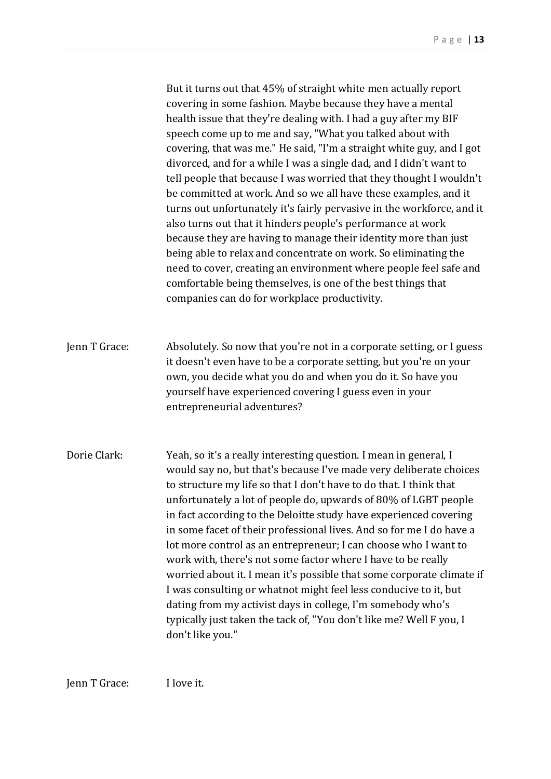But it turns out that 45% of straight white men actually report covering in some fashion. Maybe because they have a mental health issue that they're dealing with. I had a guy after my BIF speech come up to me and say, "What you talked about with covering, that was me." He said, "I'm a straight white guy, and I got divorced, and for a while I was a single dad, and I didn't want to tell people that because I was worried that they thought I wouldn't be committed at work. And so we all have these examples, and it turns out unfortunately it's fairly pervasive in the workforce, and it also turns out that it hinders people's performance at work because they are having to manage their identity more than just being able to relax and concentrate on work. So eliminating the need to cover, creating an environment where people feel safe and comfortable being themselves, is one of the best things that companies can do for workplace productivity.

Jenn T Grace: Absolutely. So now that you're not in a corporate setting, or I guess it doesn't even have to be a corporate setting, but you're on your own, you decide what you do and when you do it. So have you yourself have experienced covering I guess even in your entrepreneurial adventures?

Dorie Clark: Yeah, so it's a really interesting question. I mean in general, I would say no, but that's because I've made very deliberate choices to structure my life so that I don't have to do that. I think that unfortunately a lot of people do, upwards of 80% of LGBT people in fact according to the Deloitte study have experienced covering in some facet of their professional lives. And so for me I do have a lot more control as an entrepreneur; I can choose who I want to work with, there's not some factor where I have to be really worried about it. I mean it's possible that some corporate climate if I was consulting or whatnot might feel less conducive to it, but dating from my activist days in college, I'm somebody who's typically just taken the tack of, "You don't like me? Well F you, I don't like you."

Jenn T Grace: I love it.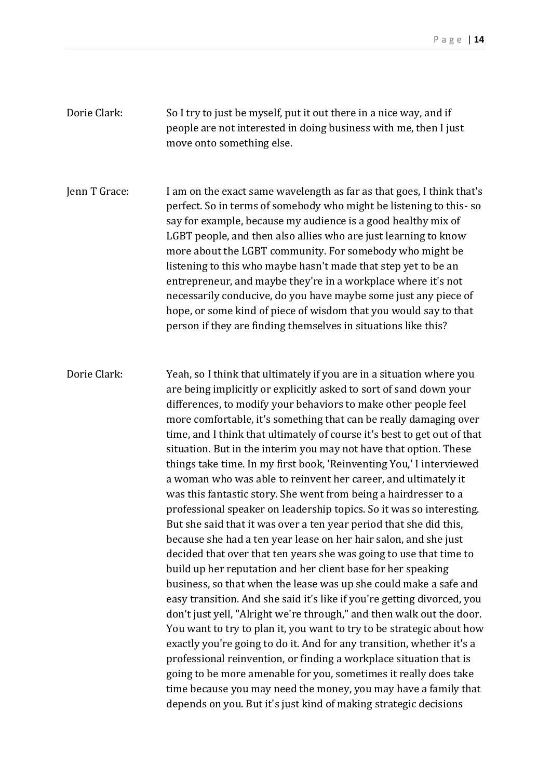Dorie Clark: So I try to just be myself, put it out there in a nice way, and if people are not interested in doing business with me, then I just move onto something else.

Jenn T Grace: I am on the exact same wavelength as far as that goes, I think that's perfect. So in terms of somebody who might be listening to this- so say for example, because my audience is a good healthy mix of LGBT people, and then also allies who are just learning to know more about the LGBT community. For somebody who might be listening to this who maybe hasn't made that step yet to be an entrepreneur, and maybe they're in a workplace where it's not necessarily conducive, do you have maybe some just any piece of hope, or some kind of piece of wisdom that you would say to that person if they are finding themselves in situations like this?

Dorie Clark: Yeah, so I think that ultimately if you are in a situation where you are being implicitly or explicitly asked to sort of sand down your differences, to modify your behaviors to make other people feel more comfortable, it's something that can be really damaging over time, and I think that ultimately of course it's best to get out of that situation. But in the interim you may not have that option. These things take time. In my first book, 'Reinventing You,' I interviewed a woman who was able to reinvent her career, and ultimately it was this fantastic story. She went from being a hairdresser to a professional speaker on leadership topics. So it was so interesting. But she said that it was over a ten year period that she did this, because she had a ten year lease on her hair salon, and she just decided that over that ten years she was going to use that time to build up her reputation and her client base for her speaking business, so that when the lease was up she could make a safe and easy transition. And she said it's like if you're getting divorced, you don't just yell, "Alright we're through," and then walk out the door. You want to try to plan it, you want to try to be strategic about how exactly you're going to do it. And for any transition, whether it's a professional reinvention, or finding a workplace situation that is going to be more amenable for you, sometimes it really does take time because you may need the money, you may have a family that depends on you. But it's just kind of making strategic decisions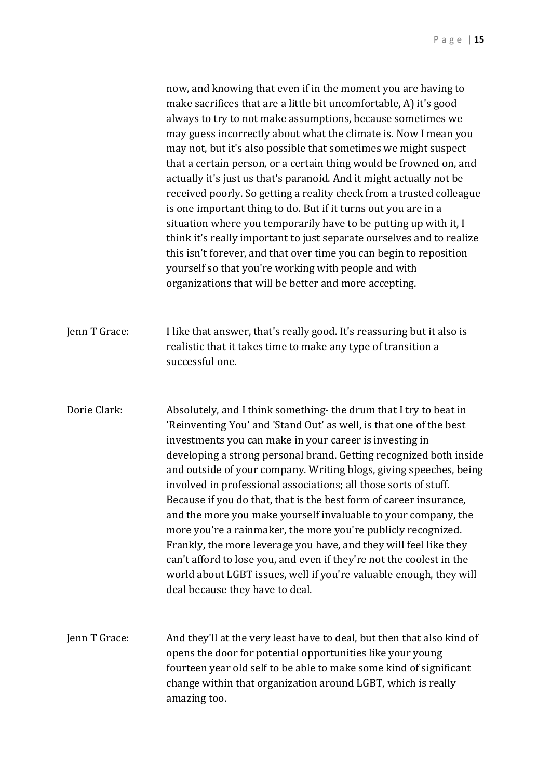now, and knowing that even if in the moment you are having to make sacrifices that are a little bit uncomfortable, A) it's good always to try to not make assumptions, because sometimes we may guess incorrectly about what the climate is. Now I mean you may not, but it's also possible that sometimes we might suspect that a certain person, or a certain thing would be frowned on, and actually it's just us that's paranoid. And it might actually not be received poorly. So getting a reality check from a trusted colleague is one important thing to do. But if it turns out you are in a situation where you temporarily have to be putting up with it, I think it's really important to just separate ourselves and to realize this isn't forever, and that over time you can begin to reposition yourself so that you're working with people and with organizations that will be better and more accepting.

- Jenn T Grace: I like that answer, that's really good. It's reassuring but it also is realistic that it takes time to make any type of transition a successful one.
- Dorie Clark: Absolutely, and I think something- the drum that I try to beat in 'Reinventing You' and 'Stand Out' as well, is that one of the best investments you can make in your career is investing in developing a strong personal brand. Getting recognized both inside and outside of your company. Writing blogs, giving speeches, being involved in professional associations; all those sorts of stuff. Because if you do that, that is the best form of career insurance, and the more you make yourself invaluable to your company, the more you're a rainmaker, the more you're publicly recognized. Frankly, the more leverage you have, and they will feel like they can't afford to lose you, and even if they're not the coolest in the world about LGBT issues, well if you're valuable enough, they will deal because they have to deal.

Jenn T Grace: And they'll at the very least have to deal, but then that also kind of opens the door for potential opportunities like your young fourteen year old self to be able to make some kind of significant change within that organization around LGBT, which is really amazing too.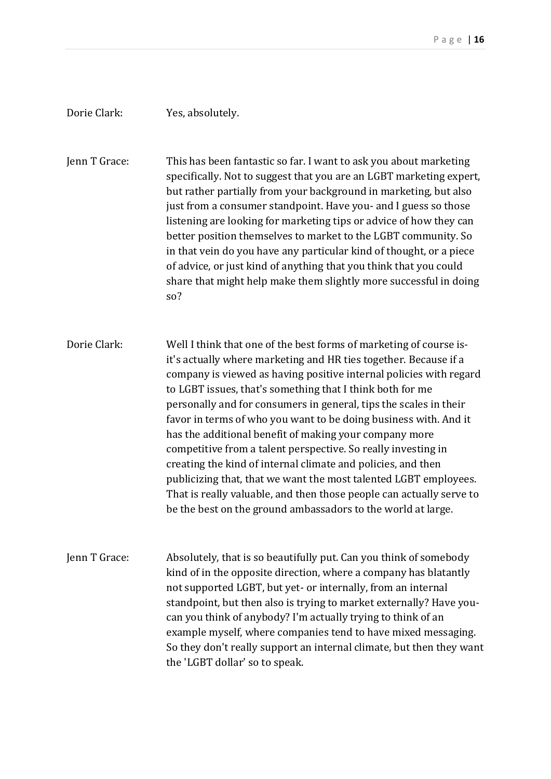## Dorie Clark: Yes, absolutely.

Jenn T Grace: This has been fantastic so far. I want to ask you about marketing specifically. Not to suggest that you are an LGBT marketing expert, but rather partially from your background in marketing, but also just from a consumer standpoint. Have you- and I guess so those listening are looking for marketing tips or advice of how they can better position themselves to market to the LGBT community. So in that vein do you have any particular kind of thought, or a piece of advice, or just kind of anything that you think that you could share that might help make them slightly more successful in doing so?

Dorie Clark: Well I think that one of the best forms of marketing of course isit's actually where marketing and HR ties together. Because if a company is viewed as having positive internal policies with regard to LGBT issues, that's something that I think both for me personally and for consumers in general, tips the scales in their favor in terms of who you want to be doing business with. And it has the additional benefit of making your company more competitive from a talent perspective. So really investing in creating the kind of internal climate and policies, and then publicizing that, that we want the most talented LGBT employees. That is really valuable, and then those people can actually serve to be the best on the ground ambassadors to the world at large.

Jenn T Grace: Absolutely, that is so beautifully put. Can you think of somebody kind of in the opposite direction, where a company has blatantly not supported LGBT, but yet- or internally, from an internal standpoint, but then also is trying to market externally? Have youcan you think of anybody? I'm actually trying to think of an example myself, where companies tend to have mixed messaging. So they don't really support an internal climate, but then they want the 'LGBT dollar' so to speak.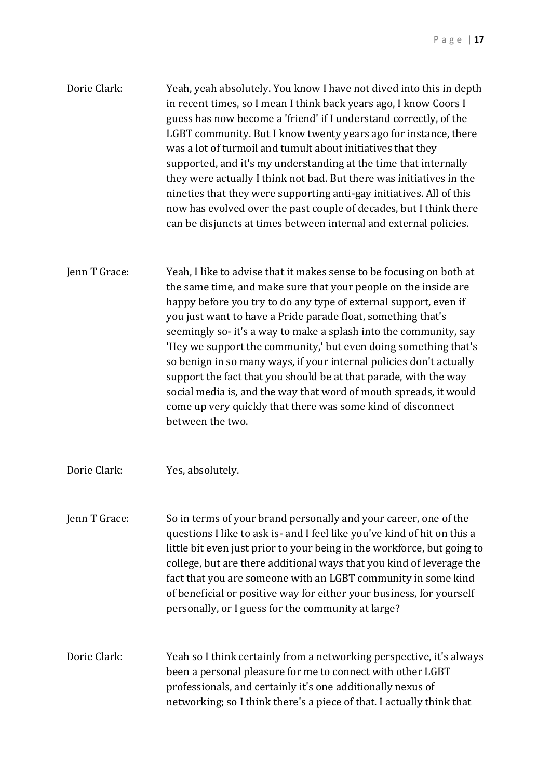| Dorie Clark: | Yeah, yeah absolutely. You know I have not dived into this in depth  |
|--------------|----------------------------------------------------------------------|
|              | in recent times, so I mean I think back years ago, I know Coors I    |
|              | guess has now become a 'friend' if I understand correctly, of the    |
|              | LGBT community. But I know twenty years ago for instance, there      |
|              | was a lot of turmoil and tumult about initiatives that they          |
|              | supported, and it's my understanding at the time that internally     |
|              | they were actually I think not bad. But there was initiatives in the |
|              | nineties that they were supporting anti-gay initiatives. All of this |
|              | now has evolved over the past couple of decades, but I think there   |
|              | can be disjuncts at times between internal and external policies.    |

- Jenn T Grace: Yeah, I like to advise that it makes sense to be focusing on both at the same time, and make sure that your people on the inside are happy before you try to do any type of external support, even if you just want to have a Pride parade float, something that's seemingly so- it's a way to make a splash into the community, say 'Hey we support the community,' but even doing something that's so benign in so many ways, if your internal policies don't actually support the fact that you should be at that parade, with the way social media is, and the way that word of mouth spreads, it would come up very quickly that there was some kind of disconnect between the two.
- Dorie Clark: Yes, absolutely.
- Jenn T Grace: So in terms of your brand personally and your career, one of the questions I like to ask is- and I feel like you've kind of hit on this a little bit even just prior to your being in the workforce, but going to college, but are there additional ways that you kind of leverage the fact that you are someone with an LGBT community in some kind of beneficial or positive way for either your business, for yourself personally, or I guess for the community at large?
- Dorie Clark: Yeah so I think certainly from a networking perspective, it's always been a personal pleasure for me to connect with other LGBT professionals, and certainly it's one additionally nexus of networking; so I think there's a piece of that. I actually think that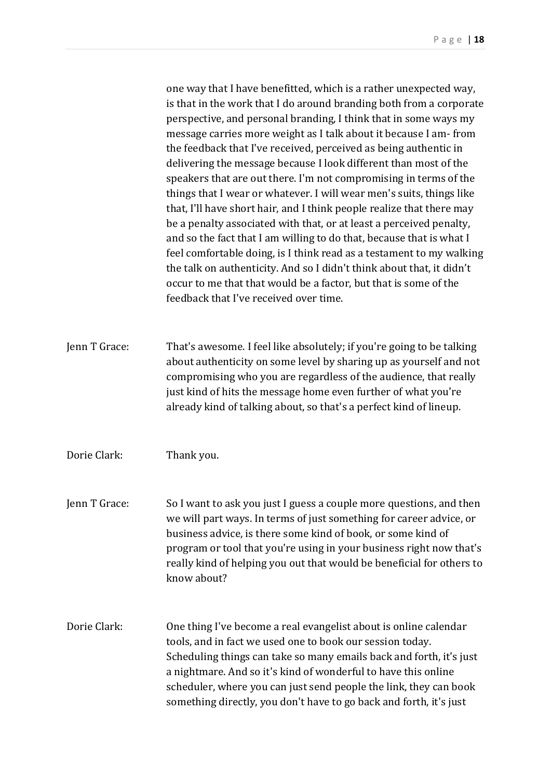one way that I have benefitted, which is a rather unexpected way, is that in the work that I do around branding both from a corporate perspective, and personal branding, I think that in some ways my message carries more weight as I talk about it because I am- from the feedback that I've received, perceived as being authentic in delivering the message because I look different than most of the speakers that are out there. I'm not compromising in terms of the things that I wear or whatever. I will wear men's suits, things like that, I'll have short hair, and I think people realize that there may be a penalty associated with that, or at least a perceived penalty, and so the fact that I am willing to do that, because that is what I feel comfortable doing, is I think read as a testament to my walking the talk on authenticity. And so I didn't think about that, it didn't occur to me that that would be a factor, but that is some of the feedback that I've received over time.

Jenn T Grace: That's awesome. I feel like absolutely; if you're going to be talking about authenticity on some level by sharing up as yourself and not compromising who you are regardless of the audience, that really just kind of hits the message home even further of what you're already kind of talking about, so that's a perfect kind of lineup.

Dorie Clark: Thank you.

Jenn T Grace: So I want to ask you just I guess a couple more questions, and then we will part ways. In terms of just something for career advice, or business advice, is there some kind of book, or some kind of program or tool that you're using in your business right now that's really kind of helping you out that would be beneficial for others to know about?

Dorie Clark: One thing I've become a real evangelist about is online calendar tools, and in fact we used one to book our session today. Scheduling things can take so many emails back and forth, it's just a nightmare. And so it's kind of wonderful to have this online scheduler, where you can just send people the link, they can book something directly, you don't have to go back and forth, it's just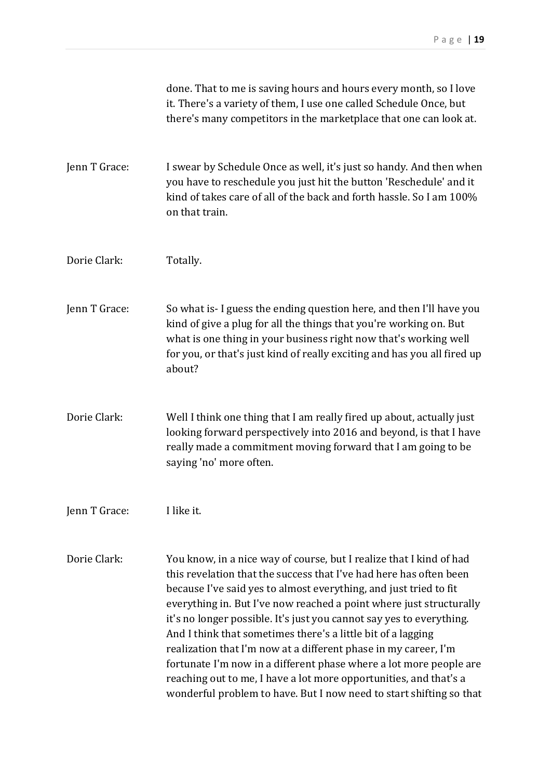|               | done. That to me is saving hours and hours every month, so I love<br>it. There's a variety of them, I use one called Schedule Once, but<br>there's many competitors in the marketplace that one can look at.                                                                                                                                                                                                                                                                                                                                                                                                                                                                                                       |
|---------------|--------------------------------------------------------------------------------------------------------------------------------------------------------------------------------------------------------------------------------------------------------------------------------------------------------------------------------------------------------------------------------------------------------------------------------------------------------------------------------------------------------------------------------------------------------------------------------------------------------------------------------------------------------------------------------------------------------------------|
| Jenn T Grace: | I swear by Schedule Once as well, it's just so handy. And then when<br>you have to reschedule you just hit the button 'Reschedule' and it<br>kind of takes care of all of the back and forth hassle. So I am 100%<br>on that train.                                                                                                                                                                                                                                                                                                                                                                                                                                                                                |
| Dorie Clark:  | Totally.                                                                                                                                                                                                                                                                                                                                                                                                                                                                                                                                                                                                                                                                                                           |
| Jenn T Grace: | So what is-I guess the ending question here, and then I'll have you<br>kind of give a plug for all the things that you're working on. But<br>what is one thing in your business right now that's working well<br>for you, or that's just kind of really exciting and has you all fired up<br>about?                                                                                                                                                                                                                                                                                                                                                                                                                |
| Dorie Clark:  | Well I think one thing that I am really fired up about, actually just<br>looking forward perspectively into 2016 and beyond, is that I have<br>really made a commitment moving forward that I am going to be<br>saying 'no' more often.                                                                                                                                                                                                                                                                                                                                                                                                                                                                            |
| Jenn T Grace: | I like it.                                                                                                                                                                                                                                                                                                                                                                                                                                                                                                                                                                                                                                                                                                         |
| Dorie Clark:  | You know, in a nice way of course, but I realize that I kind of had<br>this revelation that the success that I've had here has often been<br>because I've said yes to almost everything, and just tried to fit<br>everything in. But I've now reached a point where just structurally<br>it's no longer possible. It's just you cannot say yes to everything.<br>And I think that sometimes there's a little bit of a lagging<br>realization that I'm now at a different phase in my career, I'm<br>fortunate I'm now in a different phase where a lot more people are<br>reaching out to me, I have a lot more opportunities, and that's a<br>wonderful problem to have. But I now need to start shifting so that |